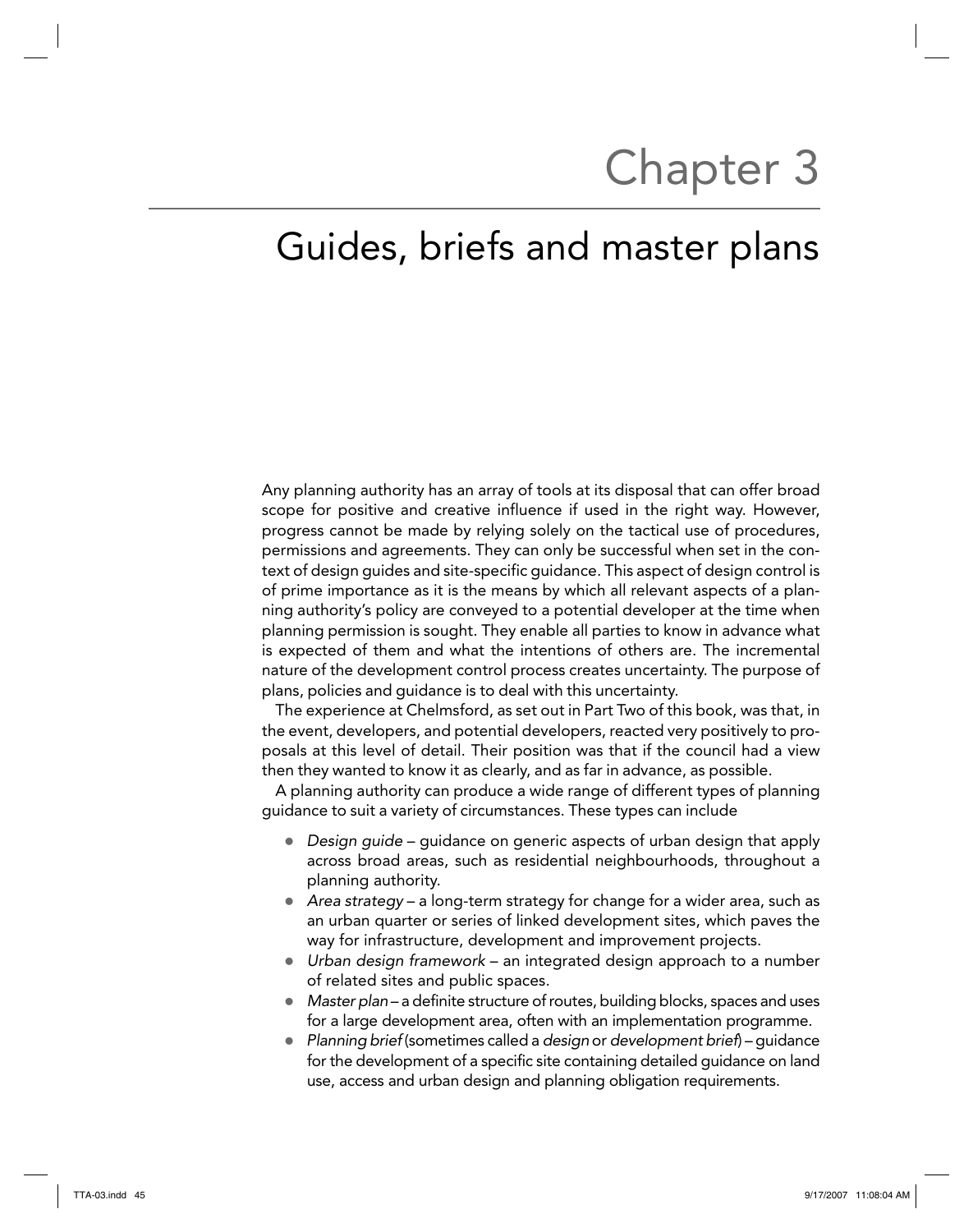# Chapter 3

# Guides, briefs and master plans

Any planning authority has an array of tools at its disposal that can offer broad scope for positive and creative influence if used in the right way. However, progress cannot be made by relying solely on the tactical use of procedures, permissions and agreements. They can only be successful when set in the context of design guides and site-specific guidance. This aspect of design control is of prime importance as it is the means by which all relevant aspects of a planning authority's policy are conveyed to a potential developer at the time when planning permission is sought. They enable all parties to know in advance what is expected of them and what the intentions of others are. The incremental nature of the development control process creates uncertainty. The purpose of plans, policies and guidance is to deal with this uncertainty.

The experience at Chelmsford, as set out in Part Two of this book, was that, in the event, developers, and potential developers, reacted very positively to proposals at this level of detail. Their position was that if the council had a view then they wanted to know it as clearly, and as far in advance, as possible.

A planning authority can produce a wide range of different types of planning guidance to suit a variety of circumstances. These types can include

- $\bullet$  Design guide guidance on generic aspects of urban design that apply across broad areas, such as residential neighbourhoods, throughout a planning authority.
- $\bullet$  Area strategy a long-term strategy for change for a wider area, such as an urban quarter or series of linked development sites, which paves the way for infrastructure, development and improvement projects.
- $\bullet$  Urban design framework an integrated design approach to a number of related sites and public spaces.
- Master plan a definite structure of routes, building blocks, spaces and uses for a large development area, often with an implementation programme.
- Planning brief (sometimes called a design or development brief) quidance for the development of a specific site containing detailed guidance on land use, access and urban design and planning obligation requirements.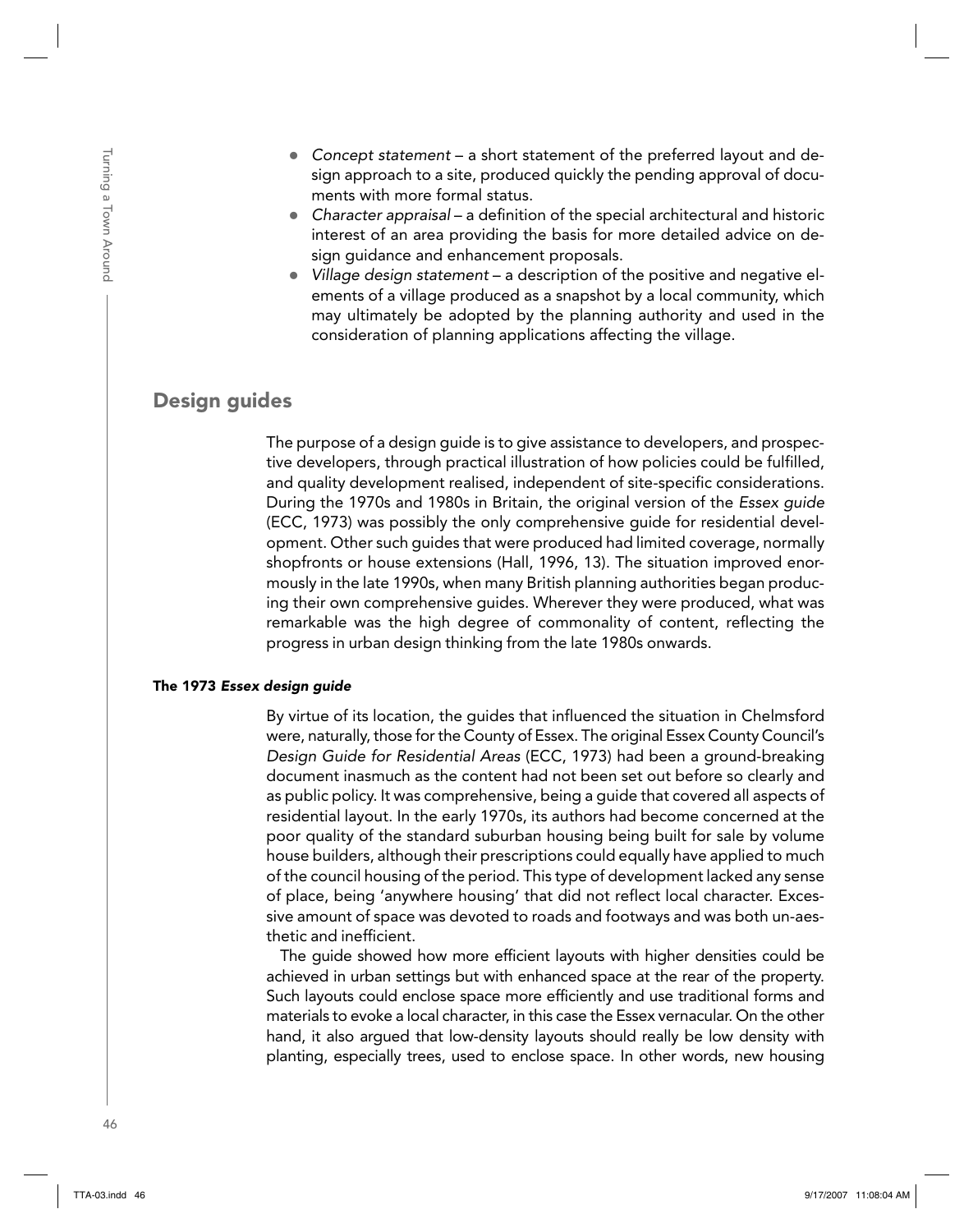- Concept statement a short statement of the preferred layout and design approach to a site, produced quickly the pending approval of documents with more formal status.
- $\bullet$  Character appraisal a definition of the special architectural and historic interest of an area providing the basis for more detailed advice on design guidance and enhancement proposals.
- Village design statement a description of the positive and negative elements of a village produced as a snapshot by a local community, which may ultimately be adopted by the planning authority and used in the consideration of planning applications affecting the village.

## **Design guides**

The purpose of a design guide is to give assistance to developers, and prospective developers, through practical illustration of how policies could be fulfilled, and quality development realised, independent of site-specific considerations. During the 1970s and 1980s in Britain, the original version of the Essex guide (ECC, 1973) was possibly the only comprehensive guide for residential development. Other such guides that were produced had limited coverage, normally shopfronts or house extensions (Hall, 1996, 13). The situation improved enormously in the late 1990s, when many British planning authorities began producing their own comprehensive guides. Wherever they were produced, what was remarkable was the high degree of commonality of content, reflecting the progress in urban design thinking from the late 1980s onwards.

#### **The 1973** *Essex design guide*

By virtue of its location, the guides that influenced the situation in Chelmsford were, naturally, those for the County of Essex. The original Essex County Council's Design Guide for Residential Areas (ECC, 1973) had been a ground-breaking document inasmuch as the content had not been set out before so clearly and as public policy. It was comprehensive, being a guide that covered all aspects of residential layout. In the early 1970s, its authors had become concerned at the poor quality of the standard suburban housing being built for sale by volume house builders, although their prescriptions could equally have applied to much of the council housing of the period. This type of development lacked any sense of place, being 'anywhere housing' that did not reflect local character. Excessive amount of space was devoted to roads and footways and was both un-aesthetic and inefficient.

The guide showed how more efficient layouts with higher densities could be achieved in urban settings but with enhanced space at the rear of the property. Such layouts could enclose space more efficiently and use traditional forms and materials to evoke a local character, in this case the Essex vernacular. On the other hand, it also argued that low-density layouts should really be low density with planting, especially trees, used to enclose space. In other words, new housing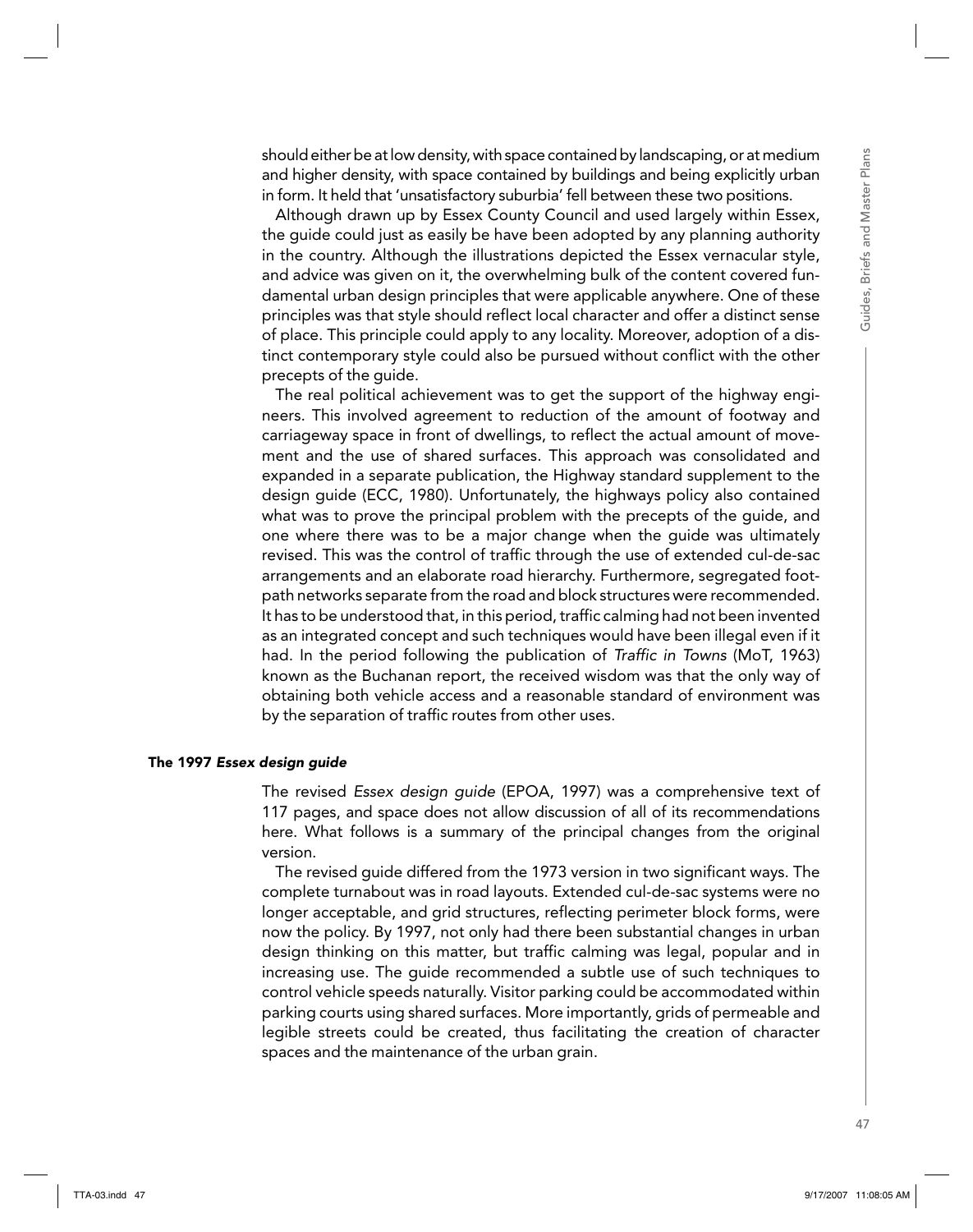should either be at low density, with space contained by landscaping, or at medium and higher density, with space contained by buildings and being explicitly urban in form. It held that 'unsatisfactory suburbia' fell between these two positions.

Although drawn up by Essex County Council and used largely within Essex, the guide could just as easily be have been adopted by any planning authority in the country. Although the illustrations depicted the Essex vernacular style, and advice was given on it, the overwhelming bulk of the content covered fundamental urban design principles that were applicable anywhere. One of these principles was that style should reflect local character and offer a distinct sense of place. This principle could apply to any locality. Moreover, adoption of a distinct contemporary style could also be pursued without conflict with the other precepts of the guide.

The real political achievement was to get the support of the highway engineers. This involved agreement to reduction of the amount of footway and carriageway space in front of dwellings, to reflect the actual amount of movement and the use of shared surfaces. This approach was consolidated and expanded in a separate publication, the Highway standard supplement to the design guide (ECC, 1980). Unfortunately, the highways policy also contained what was to prove the principal problem with the precepts of the guide, and one where there was to be a major change when the guide was ultimately revised. This was the control of traffic through the use of extended cul-de-sac arrangements and an elaborate road hierarchy. Furthermore, segregated footpath networks separate from the road and block structures were recommended. It has to be understood that, in this period, traffic calming had not been invented as an integrated concept and such techniques would have been illegal even if it had. In the period following the publication of Traffic in Towns (MoT, 1963) known as the Buchanan report, the received wisdom was that the only way of obtaining both vehicle access and a reasonable standard of environment was by the separation of traffic routes from other uses.

#### **The 1997** *Essex design guide*

The revised Essex design guide (EPOA, 1997) was a comprehensive text of 117 pages, and space does not allow discussion of all of its recommendations here. What follows is a summary of the principal changes from the original version.

The revised guide differed from the 1973 version in two significant ways. The complete turnabout was in road layouts. Extended cul-de-sac systems were no longer acceptable, and grid structures, reflecting perimeter block forms, were now the policy. By 1997, not only had there been substantial changes in urban design thinking on this matter, but traffic calming was legal, popular and in increasing use. The guide recommended a subtle use of such techniques to control vehicle speeds naturally. Visitor parking could be accommodated within parking courts using shared surfaces. More importantly, grids of permeable and legible streets could be created, thus facilitating the creation of character spaces and the maintenance of the urban grain.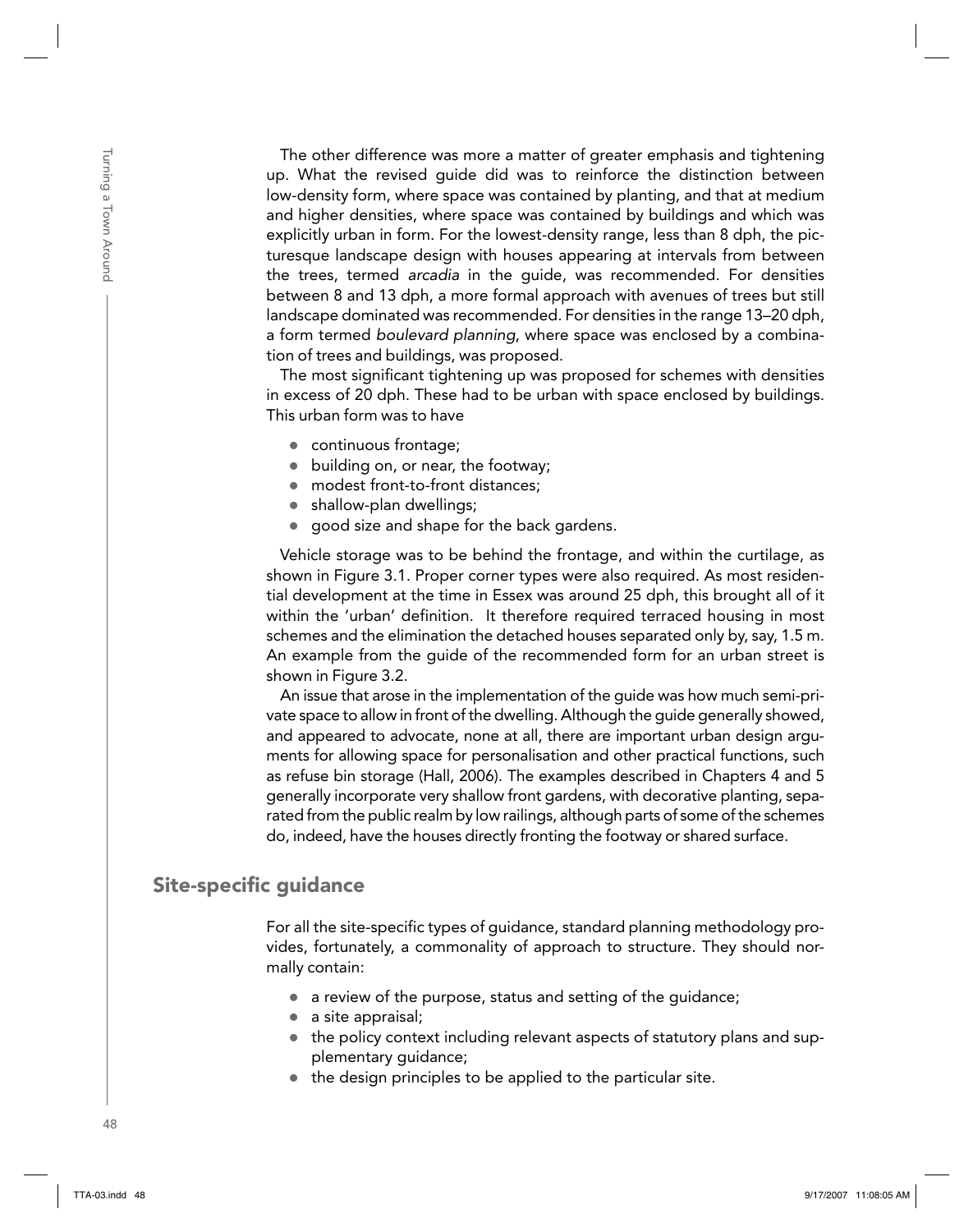The other difference was more a matter of greater emphasis and tightening up. What the revised guide did was to reinforce the distinction between low-density form, where space was contained by planting, and that at medium and higher densities, where space was contained by buildings and which was explicitly urban in form. For the lowest-density range, less than 8 dph, the picturesque landscape design with houses appearing at intervals from between the trees, termed arcadia in the guide, was recommended. For densities between 8 and 13 dph, a more formal approach with avenues of trees but still landscape dominated was recommended. For densities in the range 13–20 dph, a form termed boulevard planning, where space was enclosed by a combination of trees and buildings, was proposed.

The most significant tightening up was proposed for schemes with densities in excess of 20 dph. These had to be urban with space enclosed by buildings. This urban form was to have

- continuous frontage;
- building on, or near, the footway;
- modest front-to-front distances:
- shallow-plan dwellings;
- good size and shape for the back gardens.

Vehicle storage was to be behind the frontage, and within the curtilage, as shown in Figure 3.1. Proper corner types were also required. As most residential development at the time in Essex was around 25 dph, this brought all of it within the 'urban' definition. It therefore required terraced housing in most schemes and the elimination the detached houses separated only by, say, 1.5 m. An example from the guide of the recommended form for an urban street is shown in Figure 3.2.

An issue that arose in the implementation of the guide was how much semi-private space to allow in front of the dwelling. Although the guide generally showed, and appeared to advocate, none at all, there are important urban design arguments for allowing space for personalisation and other practical functions, such as refuse bin storage (Hall, 2006). The examples described in Chapters 4 and 5 generally incorporate very shallow front gardens, with decorative planting, separated from the public realm by low railings, although parts of some of the schemes do, indeed, have the houses directly fronting the footway or shared surface.

## **Site-specific quidance**

For all the site-specific types of guidance, standard planning methodology provides, fortunately, a commonality of approach to structure. They should normally contain:

- $\bullet$  a review of the purpose, status and setting of the quidance;
- a site appraisal;
- the policy context including relevant aspects of statutory plans and supplementary guidance;
- $\bullet$  the design principles to be applied to the particular site.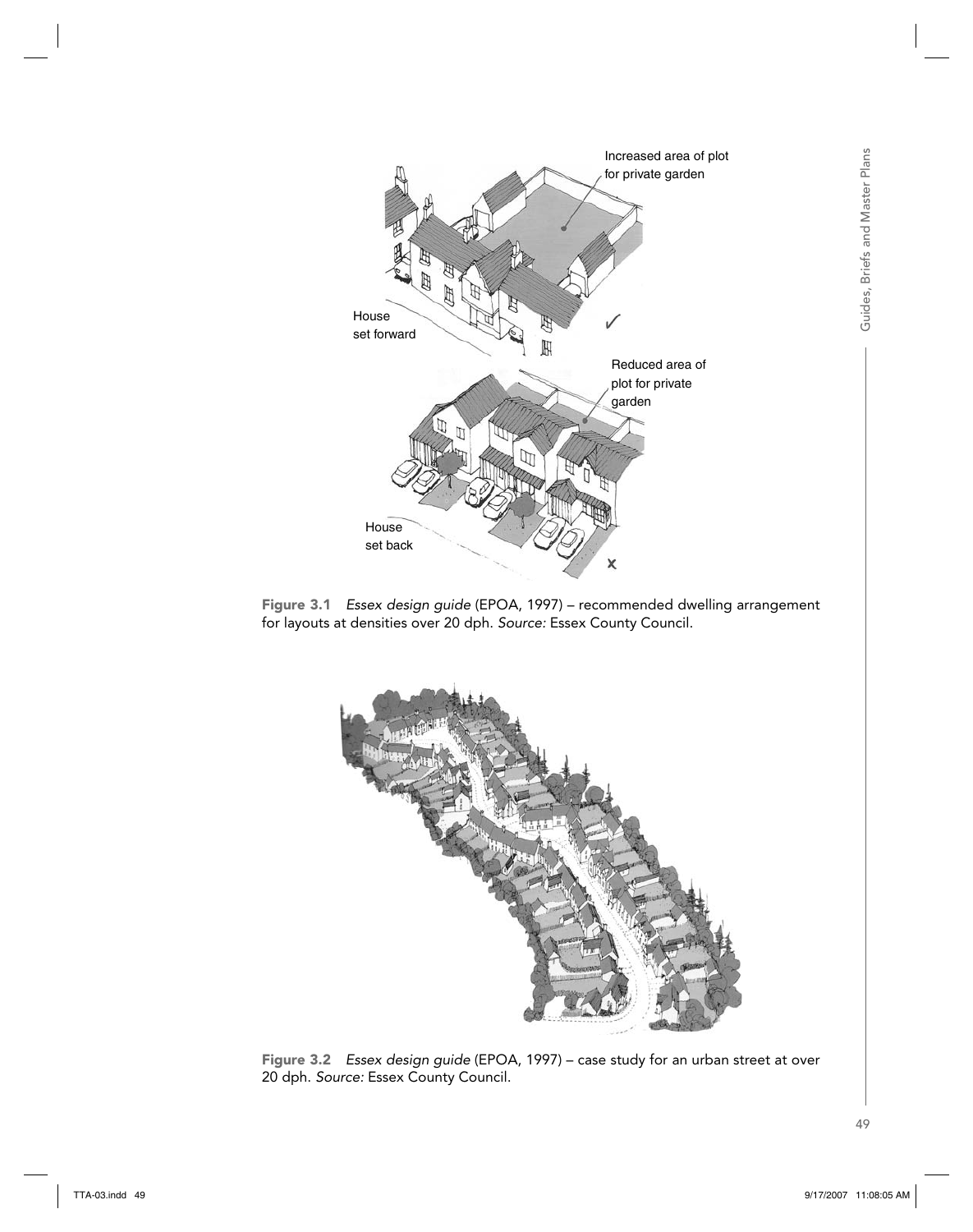

**Figure 3.1** Essex design guide (EPOA, 1997) – recommended dwelling arrangement for layouts at densities over 20 dph. Source: Essex County Council.



**Figure 3.2** Essex design guide (EPOA, 1997) – case study for an urban street at over 20 dph. Source: Essex County Council.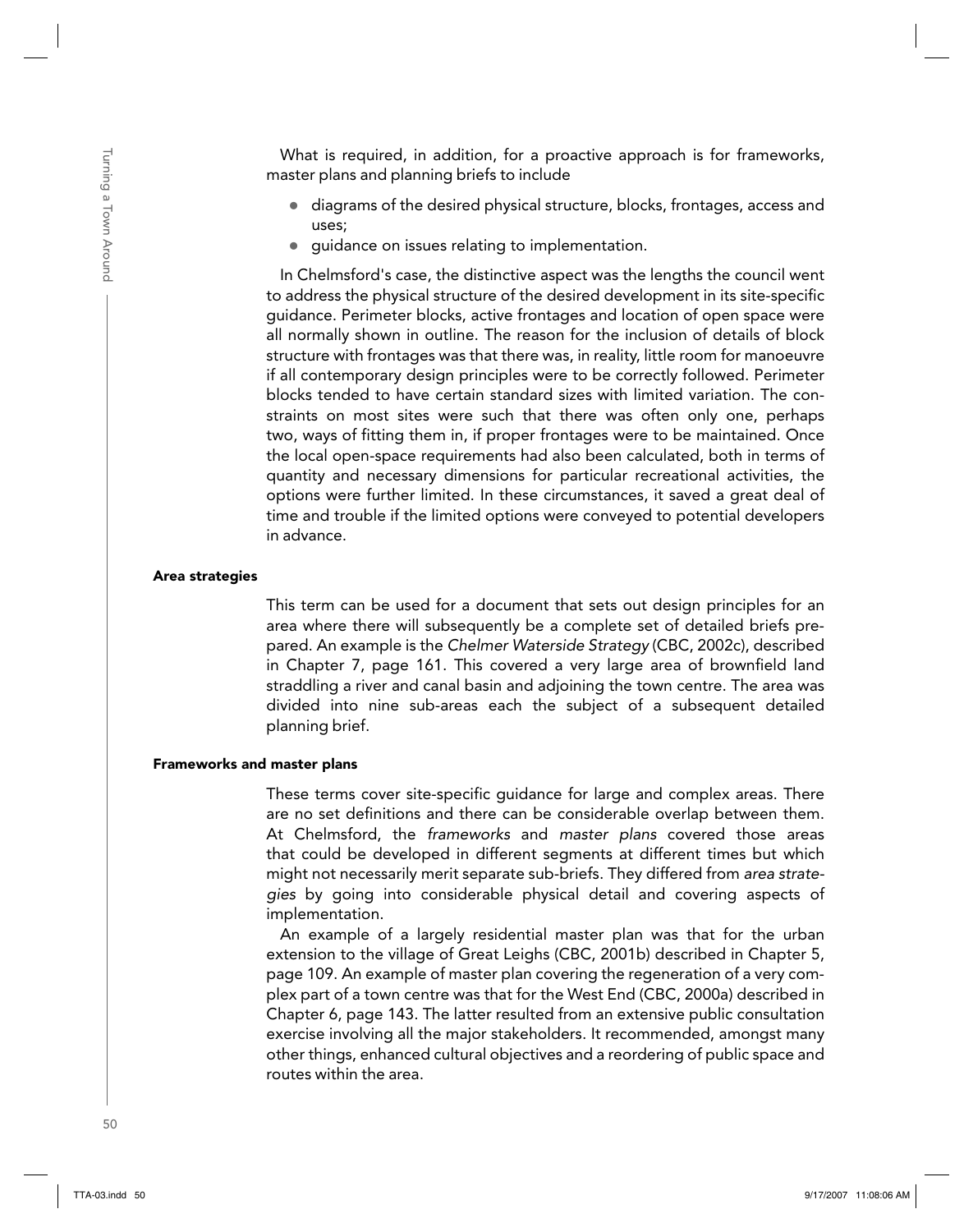What is required, in addition, for a proactive approach is for frameworks, master plans and planning briefs to include

- diagrams of the desired physical structure, blocks, frontages, access and uses;
- guidance on issues relating to implementation.

In Chelmsford's case, the distinctive aspect was the lengths the council went to address the physical structure of the desired development in its site-specific guidance. Perimeter blocks, active frontages and location of open space were all normally shown in outline. The reason for the inclusion of details of block structure with frontages was that there was, in reality, little room for manoeuvre if all contemporary design principles were to be correctly followed. Perimeter blocks tended to have certain standard sizes with limited variation. The constraints on most sites were such that there was often only one, perhaps two, ways of fitting them in, if proper frontages were to be maintained. Once the local open-space requirements had also been calculated, both in terms of quantity and necessary dimensions for particular recreational activities, the options were further limited. In these circumstances, it saved a great deal of time and trouble if the limited options were conveyed to potential developers in advance.

#### **Area strategies**

This term can be used for a document that sets out design principles for an area where there will subsequently be a complete set of detailed briefs prepared. An example is the Chelmer Waterside Strategy (CBC, 2002c), described in Chapter 7, page 161. This covered a very large area of brownfield land straddling a river and canal basin and adjoining the town centre. The area was divided into nine sub-areas each the subject of a subsequent detailed planning brief.

#### **Frameworks and master plans**

These terms cover site-specific guidance for large and complex areas. There are no set definitions and there can be considerable overlap between them. At Chelmsford, the frameworks and master plans covered those areas that could be developed in different segments at different times but which might not necessarily merit separate sub-briefs. They differed from area strategies by going into considerable physical detail and covering aspects of implementation.

An example of a largely residential master plan was that for the urban extension to the village of Great Leighs (CBC, 2001b) described in Chapter 5, page 109. An example of master plan covering the regeneration of a very complex part of a town centre was that for the West End (CBC, 2000a) described in Chapter 6, page 143. The latter resulted from an extensive public consultation exercise involving all the major stakeholders. It recommended, amongst many other things, enhanced cultural objectives and a reordering of public space and routes within the area.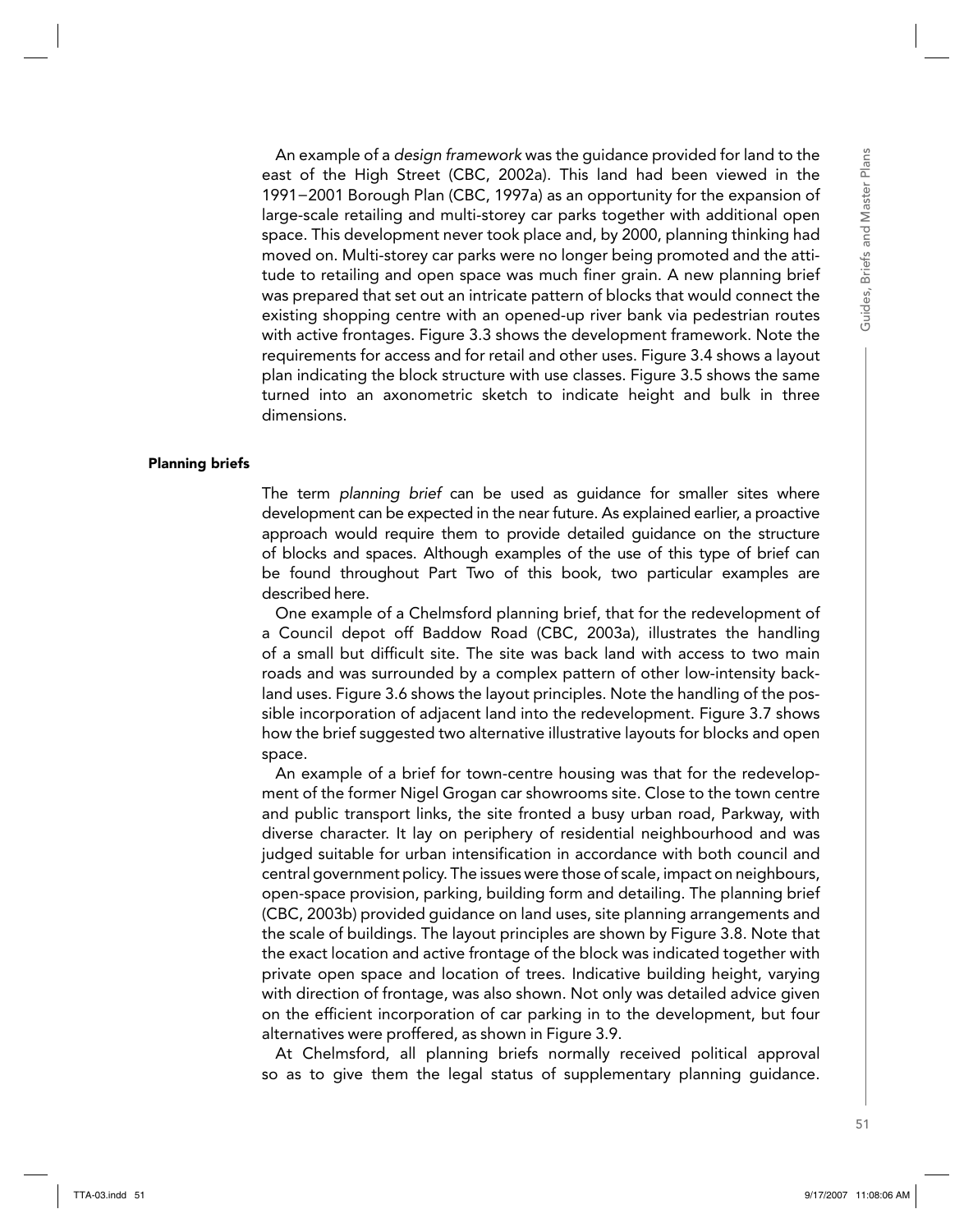An example of a design framework was the guidance provided for land to the east of the High Street (CBC, 2002a). This land had been viewed in the 1991−2001 Borough Plan (CBC, 1997a) as an opportunity for the expansion of large-scale retailing and multi-storey car parks together with additional open space. This development never took place and, by 2000, planning thinking had moved on. Multi-storey car parks were no longer being promoted and the attitude to retailing and open space was much finer grain. A new planning brief was prepared that set out an intricate pattern of blocks that would connect the existing shopping centre with an opened-up river bank via pedestrian routes with active frontages. Figure 3.3 shows the development framework. Note the requirements for access and for retail and other uses. Figure 3.4 shows a layout plan indicating the block structure with use classes. Figure 3.5 shows the same turned into an axonometric sketch to indicate height and bulk in three dimensions.

#### **Planning briefs**

The term planning brief can be used as guidance for smaller sites where development can be expected in the near future. As explained earlier, a proactive approach would require them to provide detailed guidance on the structure of blocks and spaces. Although examples of the use of this type of brief can be found throughout Part Two of this book, two particular examples are described here.

One example of a Chelmsford planning brief, that for the redevelopment of a Council depot off Baddow Road (CBC, 2003a), illustrates the handling of a small but difficult site. The site was back land with access to two main roads and was surrounded by a complex pattern of other low-intensity backland uses. Figure 3.6 shows the layout principles. Note the handling of the possible incorporation of adjacent land into the redevelopment. Figure 3.7 shows how the brief suggested two alternative illustrative layouts for blocks and open space.

An example of a brief for town-centre housing was that for the redevelopment of the former Nigel Grogan car showrooms site. Close to the town centre and public transport links, the site fronted a busy urban road, Parkway, with diverse character. It lay on periphery of residential neighbourhood and was judged suitable for urban intensification in accordance with both council and central government policy. The issues were those of scale, impact on neighbours, open-space provision, parking, building form and detailing. The planning brief (CBC, 2003b) provided guidance on land uses, site planning arrangements and the scale of buildings. The layout principles are shown by Figure 3.8. Note that the exact location and active frontage of the block was indicated together with private open space and location of trees. Indicative building height, varying with direction of frontage, was also shown. Not only was detailed advice given on the efficient incorporation of car parking in to the development, but four alternatives were proffered, as shown in Figure 3.9.

At Chelmsford, all planning briefs normally received political approval so as to give them the legal status of supplementary planning guidance.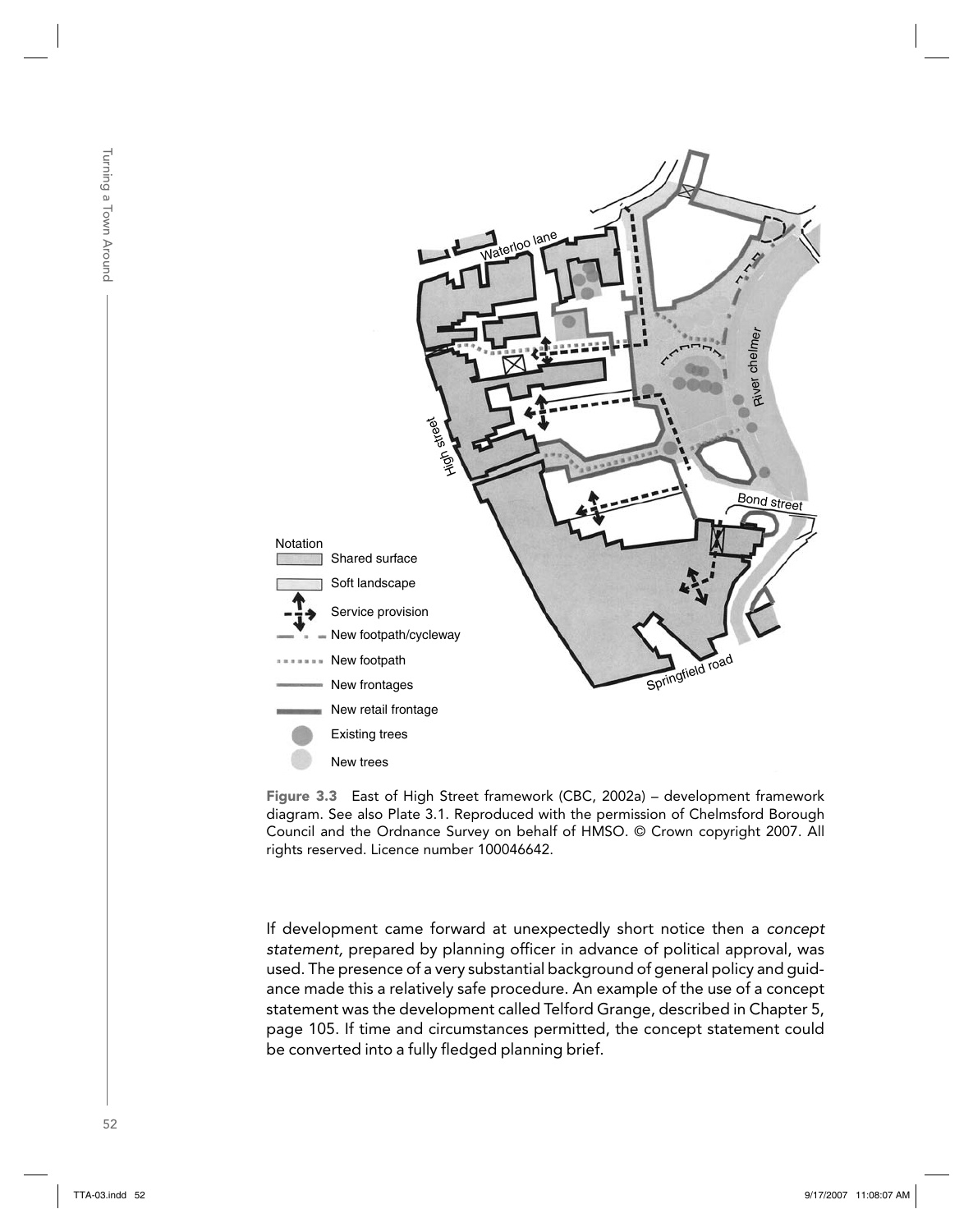

**Figure 3.3** East of High Street framework (CBC, 2002a) – development framework diagram. See also Plate 3.1. Reproduced with the permission of Chelmsford Borough Council and the Ordnance Survey on behalf of HMSO. © Crown copyright 2007. All rights reserved. Licence number 100046642.

If development came forward at unexpectedly short notice then a concept statement, prepared by planning officer in advance of political approval, was used. The presence of a very substantial background of general policy and guidance made this a relatively safe procedure. An example of the use of a concept statement was the development called Telford Grange, described in Chapter 5, page 105. If time and circumstances permitted, the concept statement could be converted into a fully fledged planning brief.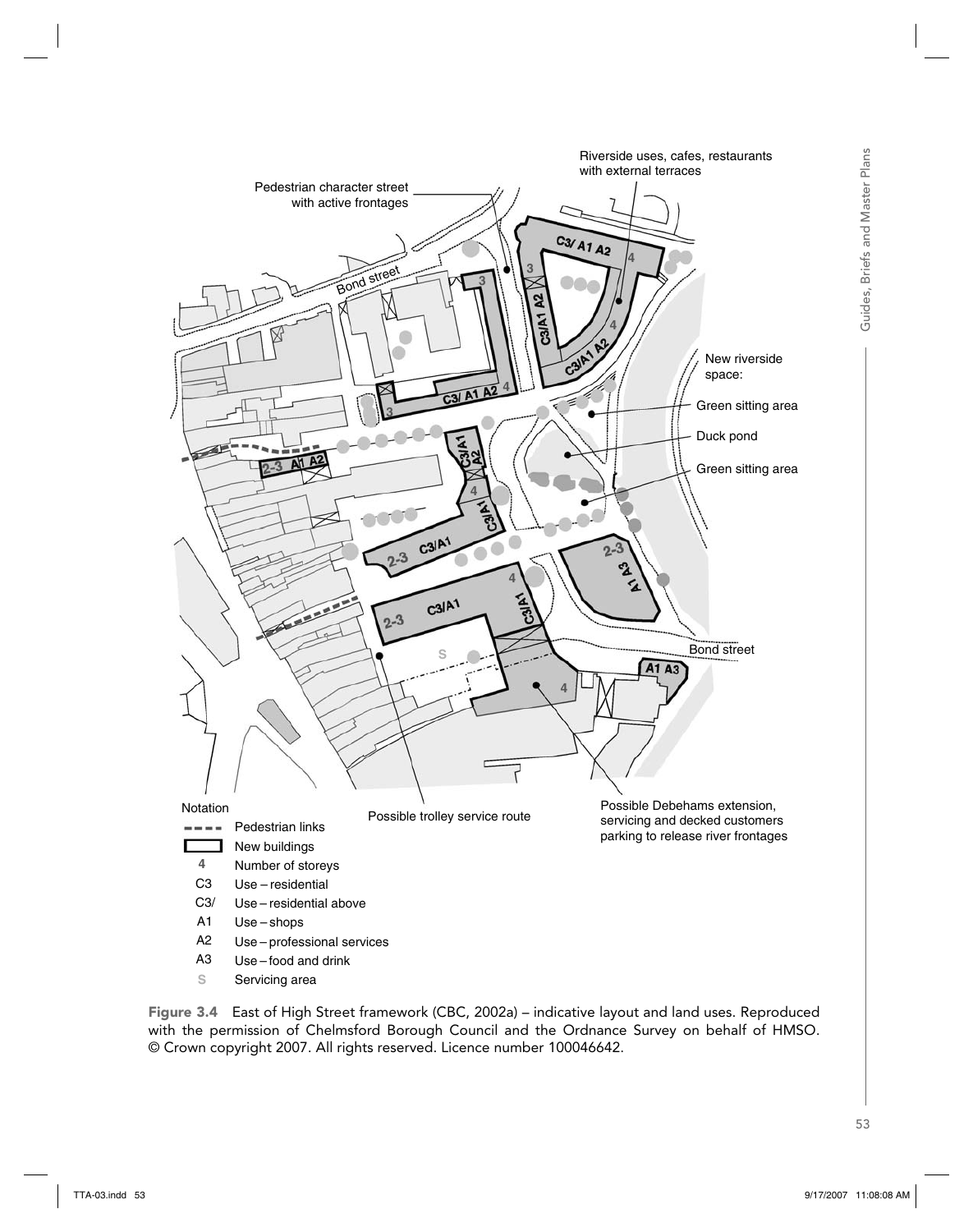

Notation  $= - -$ 

- New buildings
- Number of storeys **4**
- Use residential C3
- Use residential above C3/
- Use shops A1
- Use professional services A2
- Use food and drink A3
- Servicing area **S**

**Figure 3.4** East of High Street framework (CBC, 2002a) – indicative layout and land uses. Reproduced with the permission of Chelmsford Borough Council and the Ordnance Survey on behalf of HMSO. © Crown copyright 2007. All rights reserved. Licence number 100046642.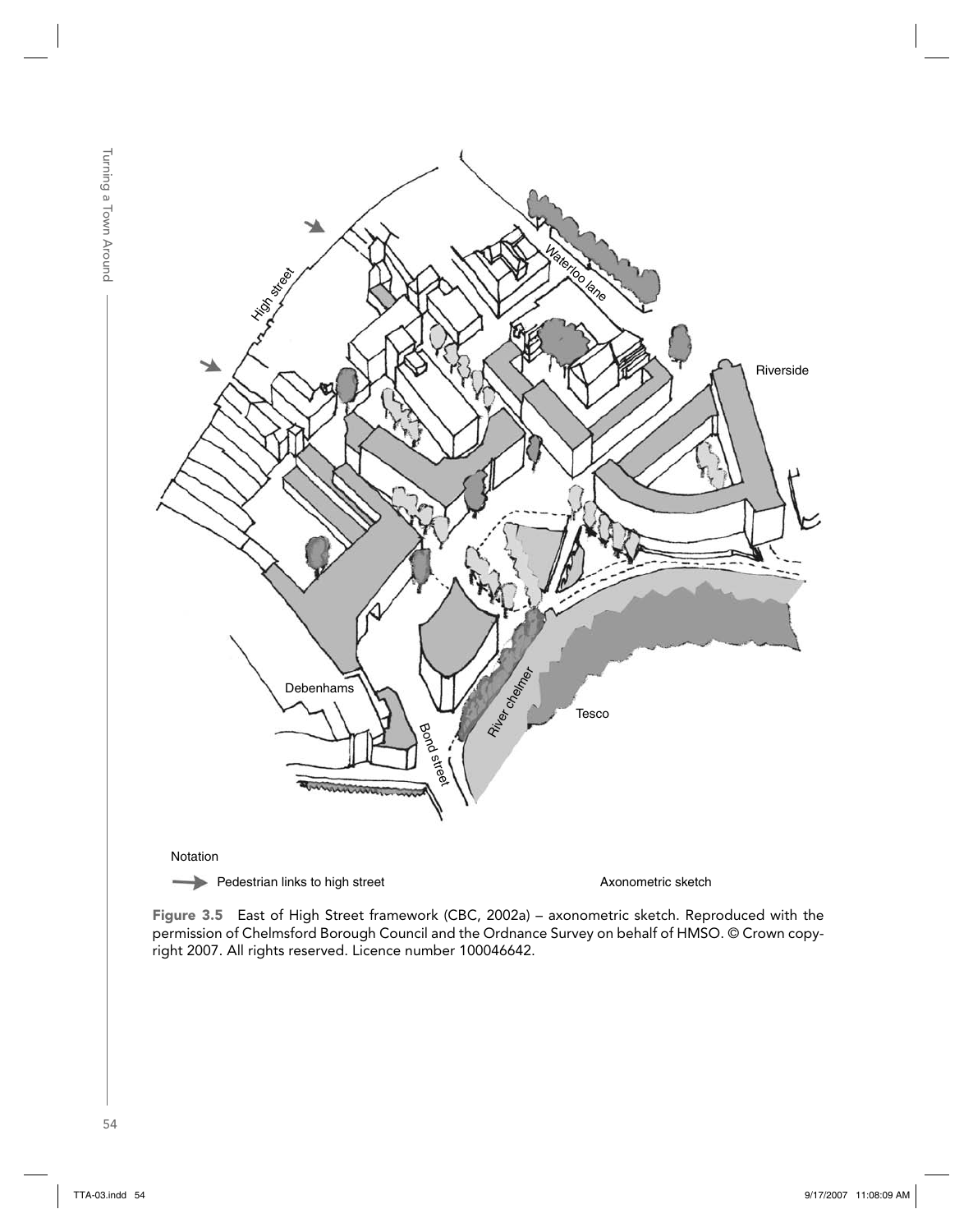

Notation

Pedestrian links to high street Axonometric sketch

**Figure 3.5** East of High Street framework (CBC, 2002a) – axonometric sketch. Reproduced with the permission of Chelmsford Borough Council and the Ordnance Survey on behalf of HMSO. © Crown copyright 2007. All rights reserved. Licence number 100046642.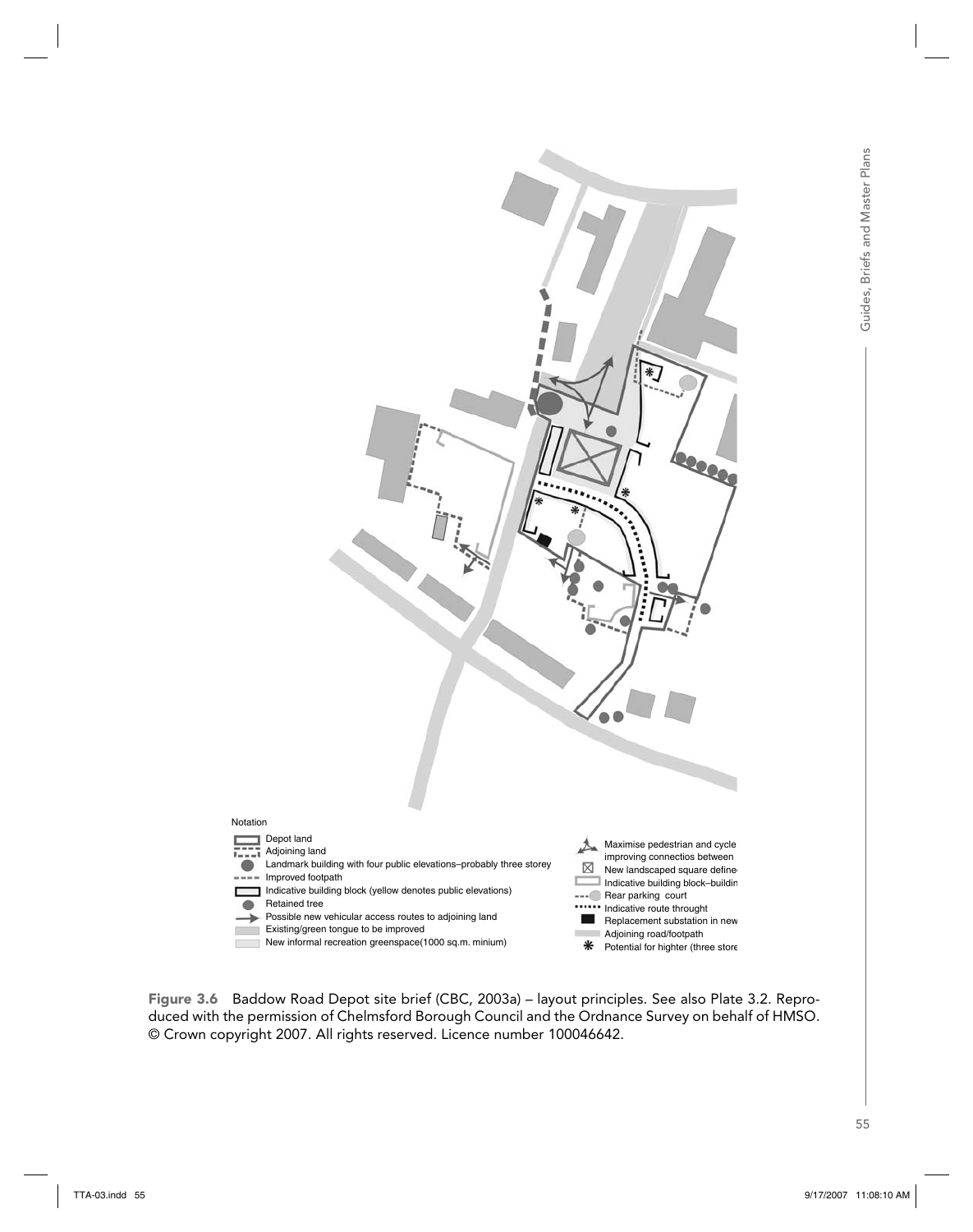

**Figure 3.6** Baddow Road Depot site brief (CBC, 2003a) – layout principles. See also Plate 3.2. Reproduced with the permission of Chelmsford Borough Council and the Ordnance Survey on behalf of HMSO. © Crown copyright 2007. All rights reserved. Licence number 100046642.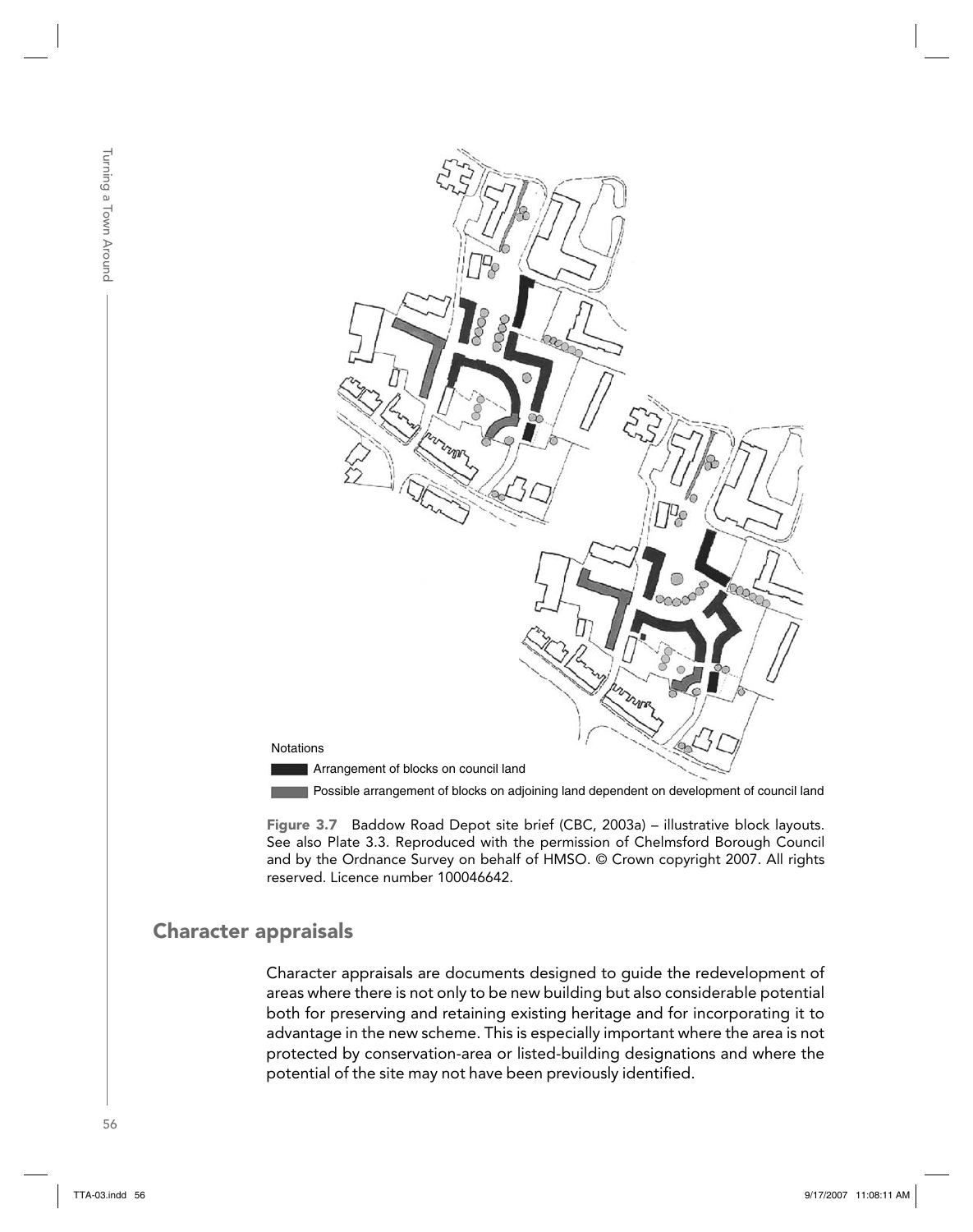

Possible arrangement of blocks on adjoining land dependent on development of council land

**Figure 3.7** Baddow Road Depot site brief (CBC, 2003a) – illustrative block layouts. See also Plate 3.3. Reproduced with the permission of Chelmsford Borough Council and by the Ordnance Survey on behalf of HMSO. © Crown copyright 2007. All rights reserved. Licence number 100046642.

# **Character appraisals**

Character appraisals are documents designed to guide the redevelopment of areas where there is not only to be new building but also considerable potential both for preserving and retaining existing heritage and for incorporating it to advantage in the new scheme. This is especially important where the area is not protected by conservation-area or listed-building designations and where the potential of the site may not have been previously identified.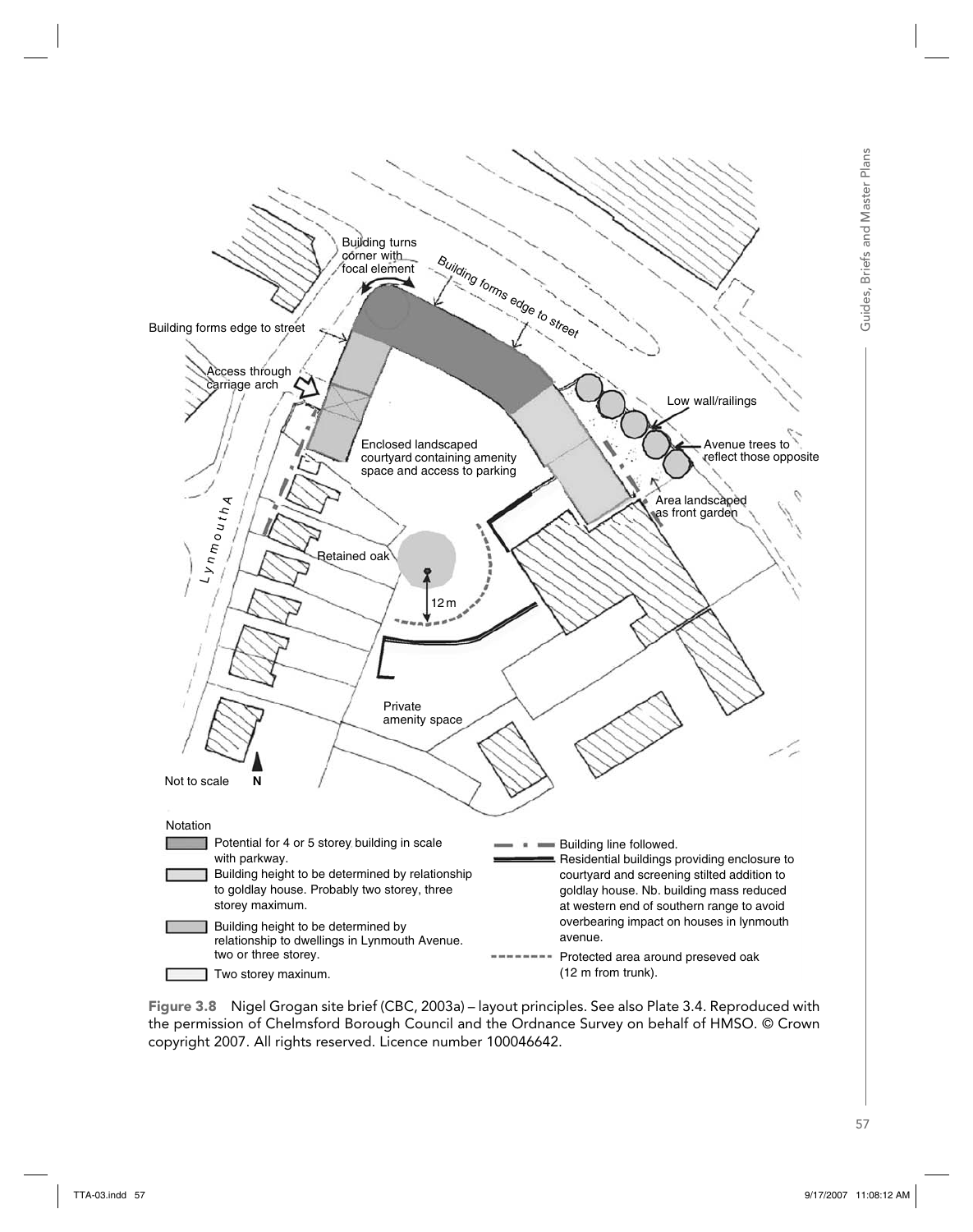

**Figure 3.8** Nigel Grogan site brief (CBC, 2003a) – layout principles. See also Plate 3.4. Reproduced with the permission of Chelmsford Borough Council and the Ordnance Survey on behalf of HMSO. © Crown copyright 2007. All rights reserved. Licence number 100046642.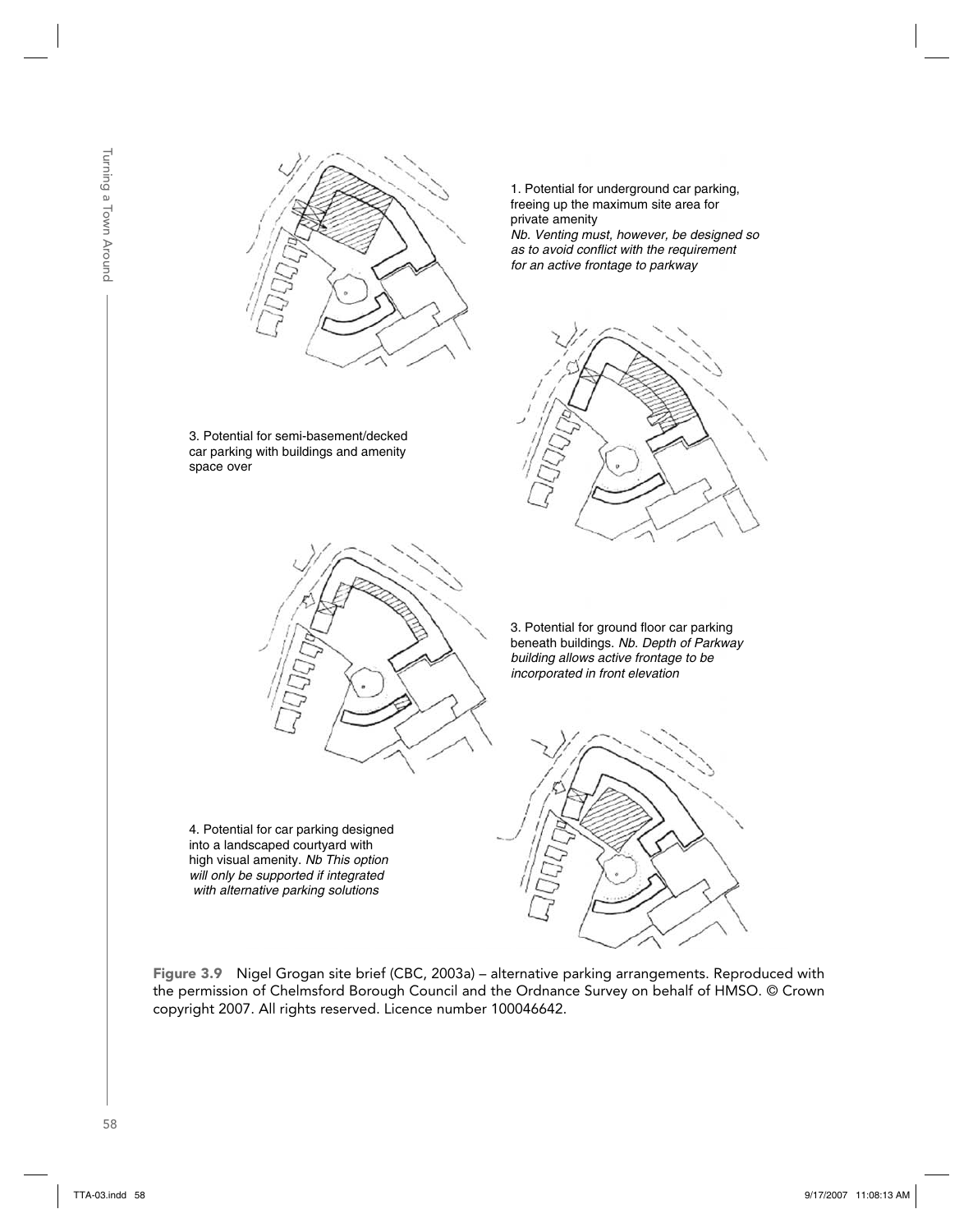

**Figure 3.9** Nigel Grogan site brief (CBC, 2003a) – alternative parking arrangements. Reproduced with the permission of Chelmsford Borough Council and the Ordnance Survey on behalf of HMSO. © Crown copyright 2007. All rights reserved. Licence number 100046642.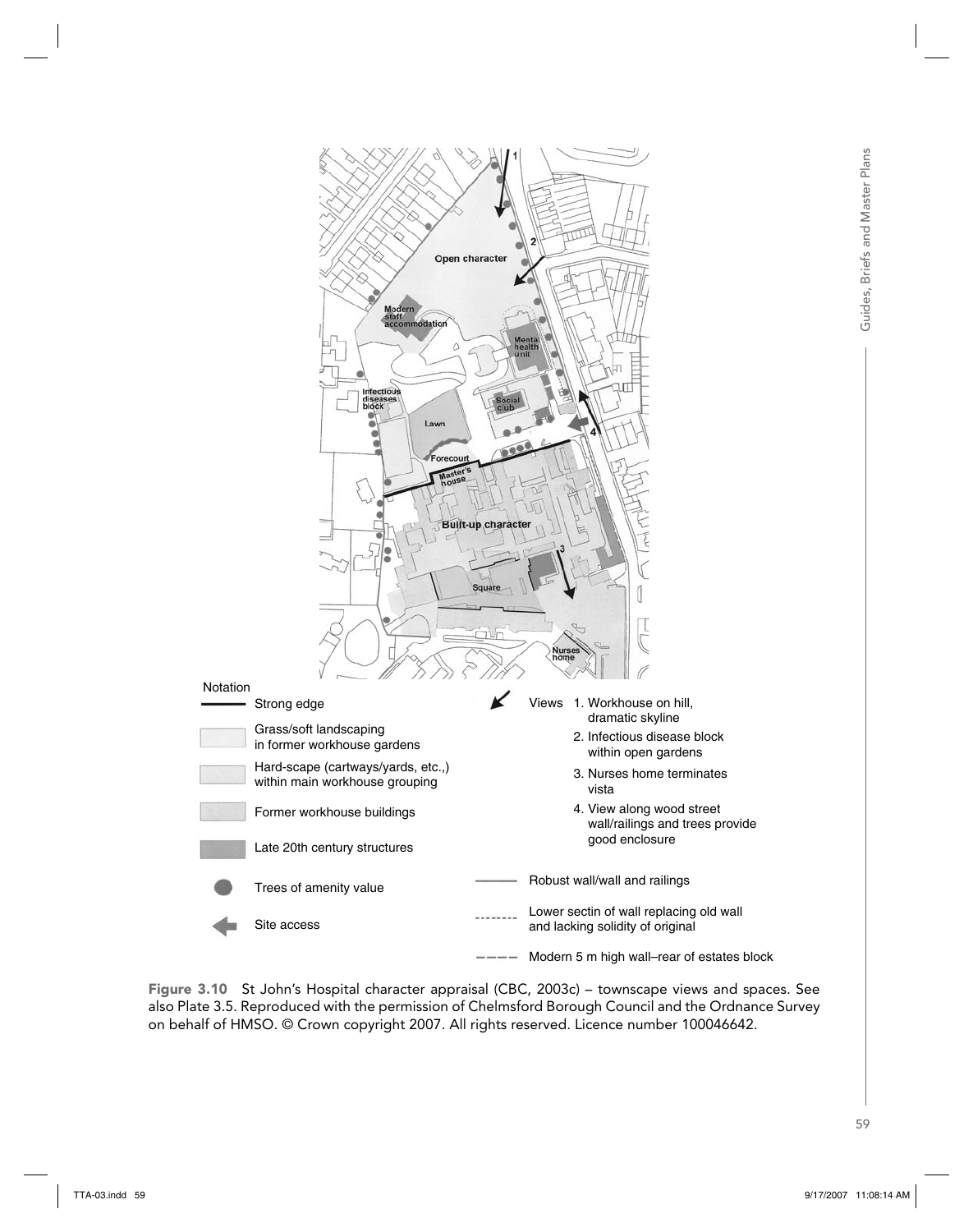

**Figure 3.10** St John's Hospital character appraisal (CBC, 2003c) – townscape views and spaces. See also Plate 3.5. Reproduced with the permission of Chelmsford Borough Council and the Ordnance Survey on behalf of HMSO. © Crown copyright 2007. All rights reserved. Licence number 100046642.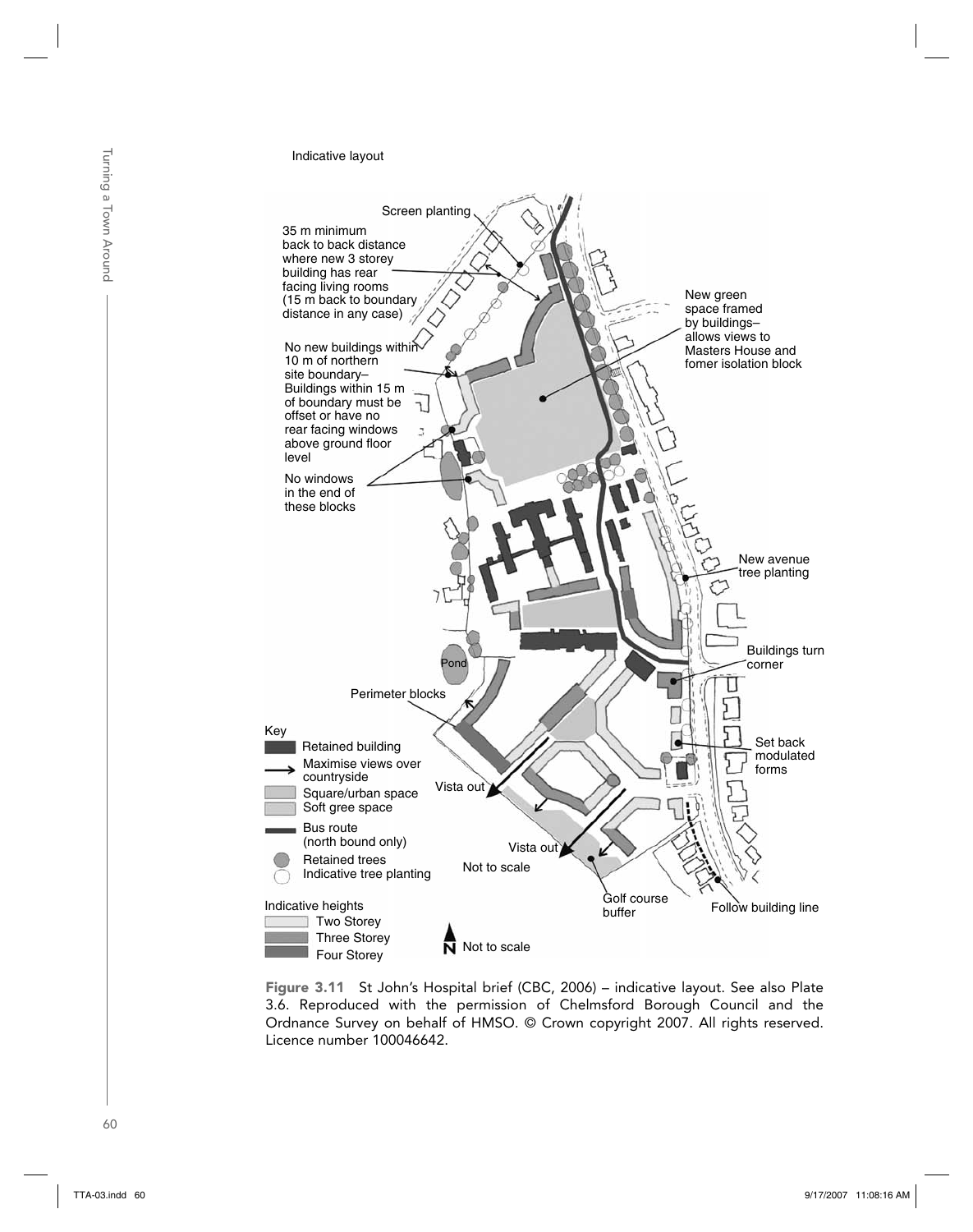Indicative layout



**Figure 3.11** St John's Hospital brief (CBC, 2006) – indicative layout. See also Plate 3.6. Reproduced with the permission of Chelmsford Borough Council and the Ordnance Survey on behalf of HMSO. © Crown copyright 2007. All rights reserved. Licence number 100046642.